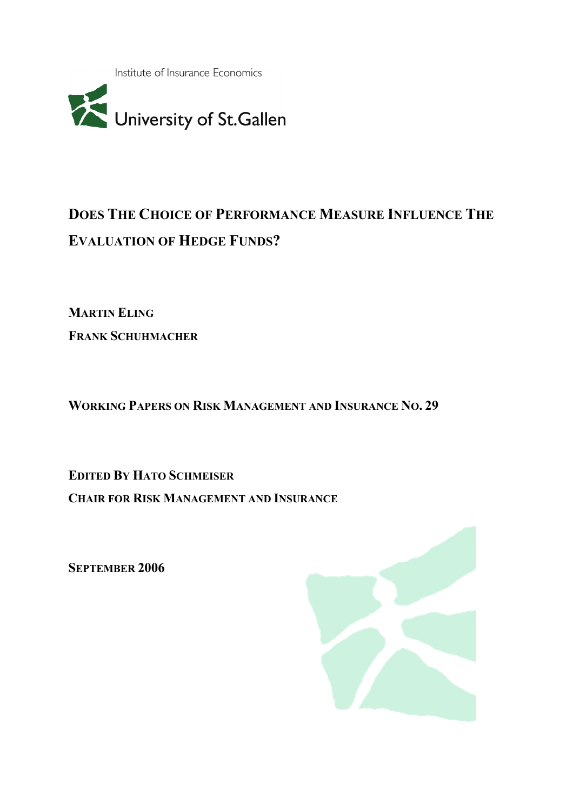Institute of Insurance Economics



# DOES THE CHOICE OF PERFORMANCE MEASURE INFLUENCE THE EVALUATION OF HEDGE FUNDS?

MARTIN ELING FRANK SCHUHMACHER

WORKING PAPERS ON RISK MANAGEMENT AND INSURANCE NO. 29

EDITED BY HATO SCHMEISER CHAIR FOR RISK MANAGEMENT AND INSURANCE

SEPTEMBER 2006

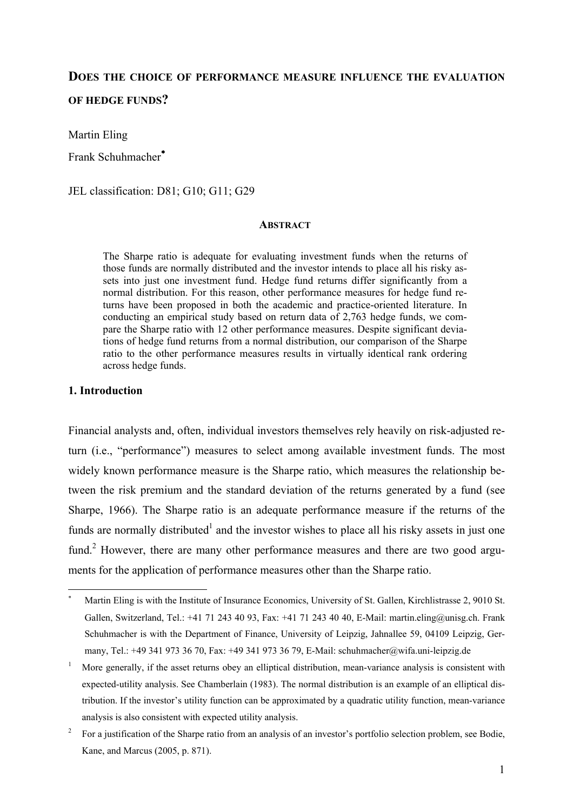## DOES THE CHOICE OF PERFORMANCE MEASURE INFLUENCE THE EVALUATION OF HEDGE FUNDS?

Martin Eling

Frank Schuhmacher<sup>∗</sup>

JEL classification: D81; G10; G11; G29

#### **ABSTRACT**

The Sharpe ratio is adequate for evaluating investment funds when the returns of those funds are normally distributed and the investor intends to place all his risky assets into just one investment fund. Hedge fund returns differ significantly from a normal distribution. For this reason, other performance measures for hedge fund returns have been proposed in both the academic and practice-oriented literature. In conducting an empirical study based on return data of 2,763 hedge funds, we compare the Sharpe ratio with 12 other performance measures. Despite significant deviations of hedge fund returns from a normal distribution, our comparison of the Sharpe ratio to the other performance measures results in virtually identical rank ordering across hedge funds.

#### 1. Introduction

 $\overline{a}$ 

Financial analysts and, often, individual investors themselves rely heavily on risk-adjusted return (i.e., "performance") measures to select among available investment funds. The most widely known performance measure is the Sharpe ratio, which measures the relationship between the risk premium and the standard deviation of the returns generated by a fund (see Sharpe, 1966). The Sharpe ratio is an adequate performance measure if the returns of the funds are normally distributed<sup>1</sup> and the investor wishes to place all his risky assets in just one fund.<sup>2</sup> However, there are many other performance measures and there are two good arguments for the application of performance measures other than the Sharpe ratio.

<sup>∗</sup> Martin Eling is with the Institute of Insurance Economics, University of St. Gallen, Kirchlistrasse 2, 9010 St. Gallen, Switzerland, Tel.: +41 71 243 40 93, Fax: +41 71 243 40 40, E-Mail: martin.eling@unisg.ch. Frank Schuhmacher is with the Department of Finance, University of Leipzig, Jahnallee 59, 04109 Leipzig, Germany, Tel.: +49 341 973 36 70, Fax: +49 341 973 36 79, E-Mail: schuhmacher@wifa.uni-leipzig.de

<sup>1</sup> More generally, if the asset returns obey an elliptical distribution, mean-variance analysis is consistent with expected-utility analysis. See Chamberlain (1983). The normal distribution is an example of an elliptical distribution. If the investor's utility function can be approximated by a quadratic utility function, mean-variance analysis is also consistent with expected utility analysis.

<sup>2</sup> For a justification of the Sharpe ratio from an analysis of an investor's portfolio selection problem, see Bodie, Kane, and Marcus (2005, p. 871).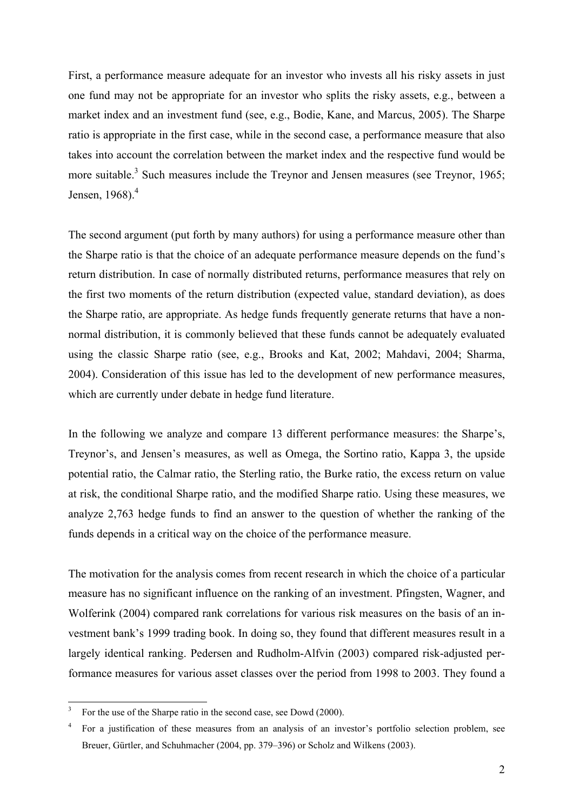First, a performance measure adequate for an investor who invests all his risky assets in just one fund may not be appropriate for an investor who splits the risky assets, e.g., between a market index and an investment fund (see, e.g., Bodie, Kane, and Marcus, 2005). The Sharpe ratio is appropriate in the first case, while in the second case, a performance measure that also takes into account the correlation between the market index and the respective fund would be more suitable.<sup>3</sup> Such measures include the Treynor and Jensen measures (see Treynor, 1965; Jensen,  $1968$ ). $<sup>4</sup>$ </sup>

The second argument (put forth by many authors) for using a performance measure other than the Sharpe ratio is that the choice of an adequate performance measure depends on the fund's return distribution. In case of normally distributed returns, performance measures that rely on the first two moments of the return distribution (expected value, standard deviation), as does the Sharpe ratio, are appropriate. As hedge funds frequently generate returns that have a nonnormal distribution, it is commonly believed that these funds cannot be adequately evaluated using the classic Sharpe ratio (see, e.g., Brooks and Kat, 2002; Mahdavi, 2004; Sharma, 2004). Consideration of this issue has led to the development of new performance measures, which are currently under debate in hedge fund literature.

In the following we analyze and compare 13 different performance measures: the Sharpe's, Treynor's, and Jensen's measures, as well as Omega, the Sortino ratio, Kappa 3, the upside potential ratio, the Calmar ratio, the Sterling ratio, the Burke ratio, the excess return on value at risk, the conditional Sharpe ratio, and the modified Sharpe ratio. Using these measures, we analyze 2,763 hedge funds to find an answer to the question of whether the ranking of the funds depends in a critical way on the choice of the performance measure.

The motivation for the analysis comes from recent research in which the choice of a particular measure has no significant influence on the ranking of an investment. Pfingsten, Wagner, and Wolferink (2004) compared rank correlations for various risk measures on the basis of an investment bank's 1999 trading book. In doing so, they found that different measures result in a largely identical ranking. Pedersen and Rudholm-Alfvin (2003) compared risk-adjusted performance measures for various asset classes over the period from 1998 to 2003. They found a

<sup>3</sup>For the use of the Sharpe ratio in the second case, see Dowd (2000).

<sup>&</sup>lt;sup>4</sup> For a justification of these measures from an analysis of an investor's portfolio selection problem, see Breuer, Gürtler, and Schuhmacher (2004, pp. 379–396) or Scholz and Wilkens (2003).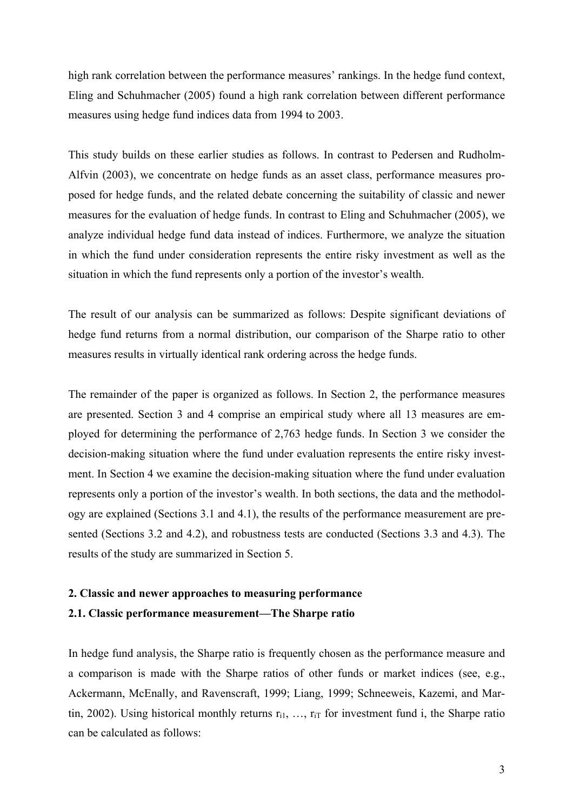high rank correlation between the performance measures' rankings. In the hedge fund context, Eling and Schuhmacher (2005) found a high rank correlation between different performance measures using hedge fund indices data from 1994 to 2003.

This study builds on these earlier studies as follows. In contrast to Pedersen and Rudholm-Alfvin (2003), we concentrate on hedge funds as an asset class, performance measures proposed for hedge funds, and the related debate concerning the suitability of classic and newer measures for the evaluation of hedge funds. In contrast to Eling and Schuhmacher (2005), we analyze individual hedge fund data instead of indices. Furthermore, we analyze the situation in which the fund under consideration represents the entire risky investment as well as the situation in which the fund represents only a portion of the investor's wealth.

The result of our analysis can be summarized as follows: Despite significant deviations of hedge fund returns from a normal distribution, our comparison of the Sharpe ratio to other measures results in virtually identical rank ordering across the hedge funds.

The remainder of the paper is organized as follows. In Section 2, the performance measures are presented. Section 3 and 4 comprise an empirical study where all 13 measures are employed for determining the performance of 2,763 hedge funds. In Section 3 we consider the decision-making situation where the fund under evaluation represents the entire risky investment. In Section 4 we examine the decision-making situation where the fund under evaluation represents only a portion of the investor's wealth. In both sections, the data and the methodology are explained (Sections 3.1 and 4.1), the results of the performance measurement are presented (Sections 3.2 and 4.2), and robustness tests are conducted (Sections 3.3 and 4.3). The results of the study are summarized in Section 5.

### 2. Classic and newer approaches to measuring performance 2.1. Classic performance measurement—The Sharpe ratio

In hedge fund analysis, the Sharpe ratio is frequently chosen as the performance measure and a comparison is made with the Sharpe ratios of other funds or market indices (see, e.g., Ackermann, McEnally, and Ravenscraft, 1999; Liang, 1999; Schneeweis, Kazemi, and Martin, 2002). Using historical monthly returns  $r_{i1}$ , ...,  $r_{iT}$  for investment fund i, the Sharpe ratio can be calculated as follows: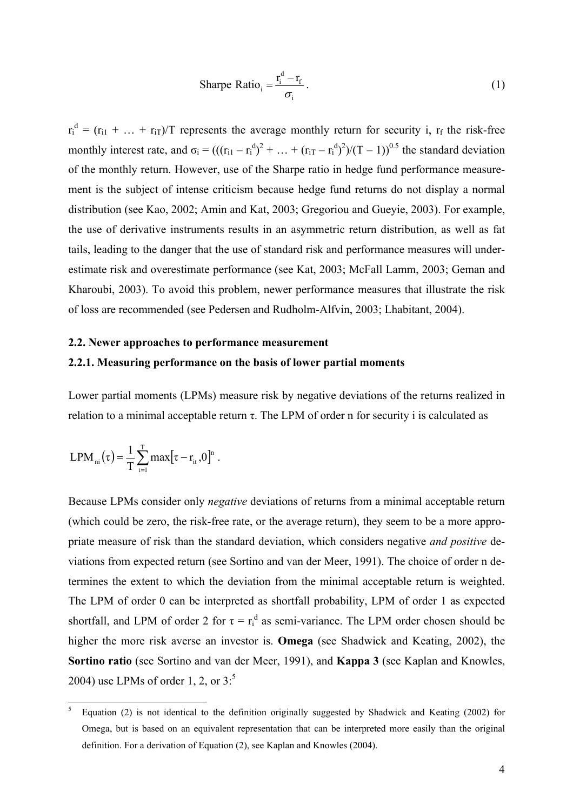$$
\text{Sharpe Ratio}_{i} = \frac{r_i^d - r_f}{\sigma_i} \,. \tag{1}
$$

 $r_i^d = (r_{i1} + ... + r_{iT})/T$  represents the average monthly return for security i,  $r_f$  the risk-free monthly interest rate, and  $\sigma_i = (((r_{i1} - r_i^d)^2 + ... + (r_{iT} - r_i^d)^2)/(T - 1))^{0.5}$  the standard deviation of the monthly return. However, use of the Sharpe ratio in hedge fund performance measurement is the subject of intense criticism because hedge fund returns do not display a normal distribution (see Kao, 2002; Amin and Kat, 2003; Gregoriou and Gueyie, 2003). For example, the use of derivative instruments results in an asymmetric return distribution, as well as fat tails, leading to the danger that the use of standard risk and performance measures will underestimate risk and overestimate performance (see Kat, 2003; McFall Lamm, 2003; Geman and Kharoubi, 2003). To avoid this problem, newer performance measures that illustrate the risk of loss are recommended (see Pedersen and Rudholm-Alfvin, 2003; Lhabitant, 2004).

#### 2.2. Newer approaches to performance measurement

#### 2.2.1. Measuring performance on the basis of lower partial moments

Lower partial moments (LPMs) measure risk by negative deviations of the returns realized in relation to a minimal acceptable return  $τ$ . The LPM of order n for security i is calculated as

$$
LPM_{ni}\left(\tau\right) = \frac{1}{T}\sum_{t=1}^{T} max\big[\tau - r_{it}\,, 0\big]^n\ .
$$

 $\overline{a}$ 

Because LPMs consider only negative deviations of returns from a minimal acceptable return (which could be zero, the risk-free rate, or the average return), they seem to be a more appropriate measure of risk than the standard deviation, which considers negative and positive deviations from expected return (see Sortino and van der Meer, 1991). The choice of order n determines the extent to which the deviation from the minimal acceptable return is weighted. The LPM of order 0 can be interpreted as shortfall probability, LPM of order 1 as expected shortfall, and LPM of order 2 for  $\tau = r_i^d$  as semi-variance. The LPM order chosen should be higher the more risk averse an investor is. Omega (see Shadwick and Keating, 2002), the Sortino ratio (see Sortino and van der Meer, 1991), and Kappa 3 (see Kaplan and Knowles, 2004) use LPMs of order 1, 2, or  $3<sup>5</sup>$ 

<sup>5</sup> Equation (2) is not identical to the definition originally suggested by Shadwick and Keating (2002) for Omega, but is based on an equivalent representation that can be interpreted more easily than the original definition. For a derivation of Equation (2), see Kaplan and Knowles (2004).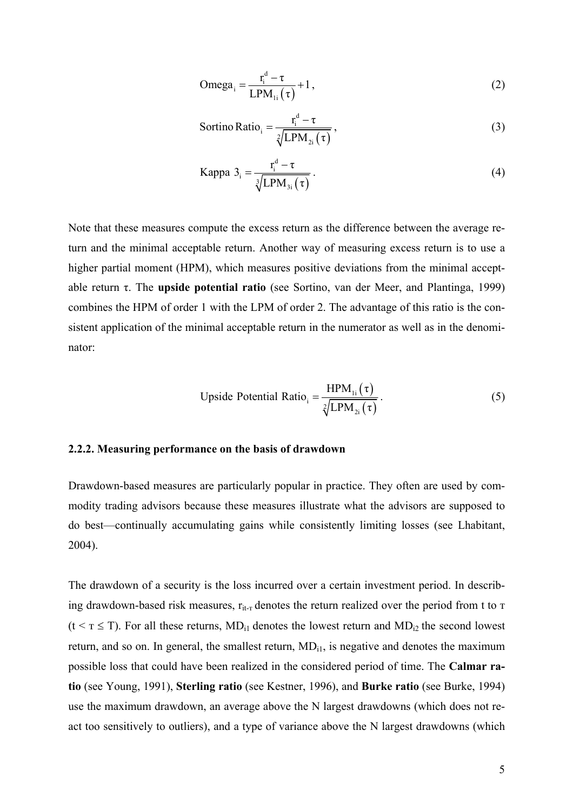$$
\text{Omega}_{i} = \frac{r_{i}^{d} - \tau}{\text{LPM}_{1i}(\tau)} + 1, \tag{2}
$$

$$
Sortino Ratio_{i} = \frac{r_{i}^{d} - \tau}{\sqrt[2]{LPM_{2i}(\tau)}},
$$
\n(3)

Kappa 
$$
3_i = \frac{r_i^d - \tau}{\sqrt[3]{\text{LPM}_{3i}(\tau)}}.
$$
 (4)

Note that these measures compute the excess return as the difference between the average return and the minimal acceptable return. Another way of measuring excess return is to use a higher partial moment (HPM), which measures positive deviations from the minimal acceptable return τ. The upside potential ratio (see Sortino, van der Meer, and Plantinga, 1999) combines the HPM of order 1 with the LPM of order 2. The advantage of this ratio is the consistent application of the minimal acceptable return in the numerator as well as in the denominator:

$$
\text{Upside Potential Ratio}_{i} = \frac{\text{HPM}_{1i}(\tau)}{\sqrt[2]{\text{LPM}_{2i}(\tau)}}\,. \tag{5}
$$

#### 2.2.2. Measuring performance on the basis of drawdown

Drawdown-based measures are particularly popular in practice. They often are used by commodity trading advisors because these measures illustrate what the advisors are supposed to do best—continually accumulating gains while consistently limiting losses (see Lhabitant, 2004).

The drawdown of a security is the loss incurred over a certain investment period. In describing drawdown-based risk measures,  $r_{i}$  denotes the return realized over the period from t to  $\tau$  $(t \leq T \leq T)$ . For all these returns, MD<sub>i1</sub> denotes the lowest return and MD<sub>i2</sub> the second lowest return, and so on. In general, the smallest return,  $MD_{i1}$ , is negative and denotes the maximum possible loss that could have been realized in the considered period of time. The Calmar ratio (see Young, 1991), Sterling ratio (see Kestner, 1996), and Burke ratio (see Burke, 1994) use the maximum drawdown, an average above the N largest drawdowns (which does not react too sensitively to outliers), and a type of variance above the N largest drawdowns (which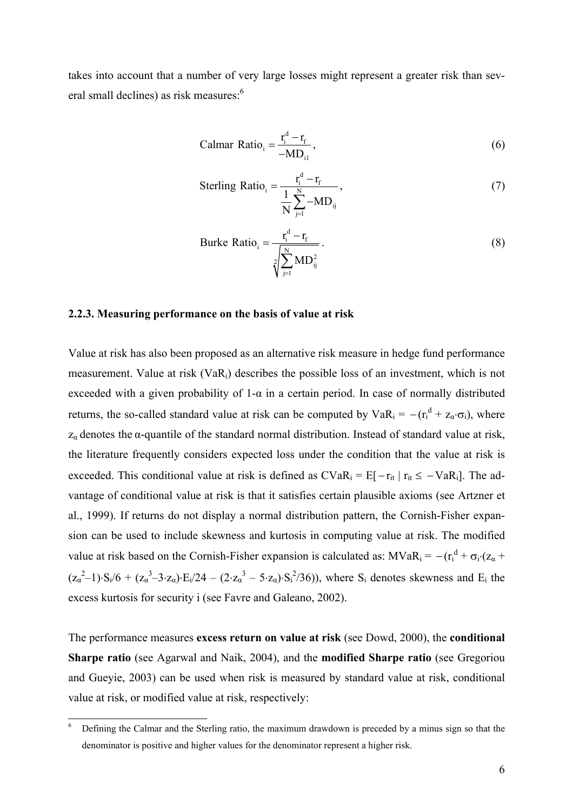takes into account that a number of very large losses might represent a greater risk than several small declines) as risk measures:<sup>6</sup>

$$
Calmar Ratio_{i} = \frac{r_i^d - r_f}{-MD_{i1}},
$$
\n(6)

Sterling Ratio<sub>i</sub> = 
$$
\frac{r_i^d - r_f}{\frac{1}{N} \sum_{j=1}^{N} -MD_{ij}},
$$
\n(7)

Burke Ratio<sub>i</sub> = 
$$
\frac{r_i^d - r_f}{\sqrt[2]{\sum_{j=1}^{N} \text{MD}_{ij}^2}}.
$$
\n(8)

#### 2.2.3. Measuring performance on the basis of value at risk

Value at risk has also been proposed as an alternative risk measure in hedge fund performance measurement. Value at risk (VaRi) describes the possible loss of an investment, which is not exceeded with a given probability of 1-α in a certain period. In case of normally distributed returns, the so-called standard value at risk can be computed by  $VaR_i = -(r_i^d + z_\alpha \cdot \sigma_i)$ , where  $z_\alpha$  denotes the  $\alpha$ -quantile of the standard normal distribution. Instead of standard value at risk, the literature frequently considers expected loss under the condition that the value at risk is exceeded. This conditional value at risk is defined as  $CVaR_i = E[-r_{it} | r_{it} \le -VaR_i]$ . The advantage of conditional value at risk is that it satisfies certain plausible axioms (see Artzner et al., 1999). If returns do not display a normal distribution pattern, the Cornish-Fisher expansion can be used to include skewness and kurtosis in computing value at risk. The modified value at risk based on the Cornish-Fisher expansion is calculated as:  $MVaR_i = -(r_i^d + \sigma_i \cdot (z_\alpha +$  $(z_{\alpha}^{2}-1)\cdot S_{i}/6 + (z_{\alpha}^{3}-3\cdot z_{\alpha})\cdot E_{i}/24 - (2\cdot z_{\alpha}^{3}-5\cdot z_{\alpha})\cdot S_{i}^{2}/36)$ , where  $S_{i}$  denotes skewness and  $E_{i}$  the excess kurtosis for security i (see Favre and Galeano, 2002).

The performance measures **excess return on value at risk** (see Dowd, 2000), the **conditional** Sharpe ratio (see Agarwal and Naik, 2004), and the modified Sharpe ratio (see Gregoriou and Gueyie, 2003) can be used when risk is measured by standard value at risk, conditional value at risk, or modified value at risk, respectively:

<sup>6</sup> Defining the Calmar and the Sterling ratio, the maximum drawdown is preceded by a minus sign so that the denominator is positive and higher values for the denominator represent a higher risk.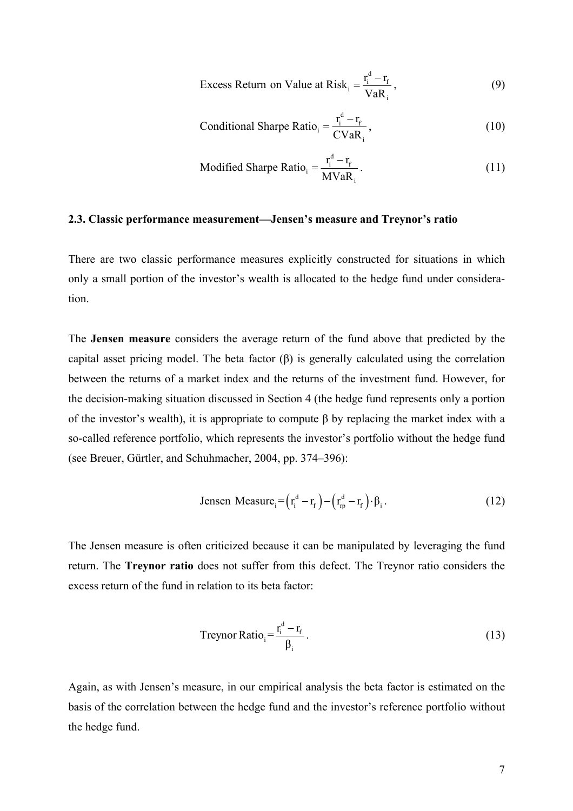Excess Return on Value at Risk<sub>i</sub> = 
$$
\frac{r_i^d - r_f}{VaR_i}
$$
, (9)

Conditional Sharpe Ratio<sub>i</sub> = 
$$
\frac{r_i^d - r_f}{CVaR_i}
$$
, (10)

$$
\text{Modified Sharpe Ratio}_{i} = \frac{r_i^d - r_f}{MVaR_i} \,. \tag{11}
$$

#### 2.3. Classic performance measurement—Jensen's measure and Treynor's ratio

There are two classic performance measures explicitly constructed for situations in which only a small portion of the investor's wealth is allocated to the hedge fund under consideration.

The Jensen measure considers the average return of the fund above that predicted by the capital asset pricing model. The beta factor (β) is generally calculated using the correlation between the returns of a market index and the returns of the investment fund. However, for the decision-making situation discussed in Section 4 (the hedge fund represents only a portion of the investor's wealth), it is appropriate to compute β by replacing the market index with a so-called reference portfolio, which represents the investor's portfolio without the hedge fund (see Breuer, Gürtler, and Schuhmacher, 2004, pp. 374–396):

Jensen Measure<sub>i</sub> = 
$$
(r_i^d - r_f) - (r_{rp}^d - r_f) \cdot \beta_i
$$
. (12)

The Jensen measure is often criticized because it can be manipulated by leveraging the fund return. The Treynor ratio does not suffer from this defect. The Treynor ratio considers the excess return of the fund in relation to its beta factor:

Treynor Ratio<sub>i</sub> = 
$$
\frac{r_i^d - r_f}{\beta_i}
$$
. (13)

Again, as with Jensen's measure, in our empirical analysis the beta factor is estimated on the basis of the correlation between the hedge fund and the investor's reference portfolio without the hedge fund.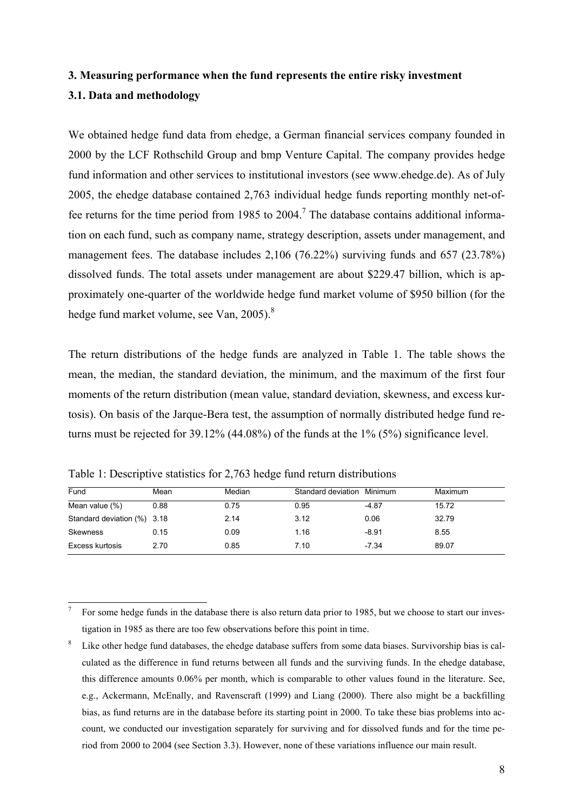### 3. Measuring performance when the fund represents the entire risky investment 3.1. Data and methodology

We obtained hedge fund data from ehedge, a German financial services company founded in 2000 by the LCF Rothschild Group and bmp Venture Capital. The company provides hedge fund information and other services to institutional investors (see www.ehedge.de). As of July 2005, the ehedge database contained 2,763 individual hedge funds reporting monthly net-offee returns for the time period from 1985 to 2004.<sup>7</sup> The database contains additional information on each fund, such as company name, strategy description, assets under management, and management fees. The database includes 2,106 (76.22%) surviving funds and 657 (23.78%) dissolved funds. The total assets under management are about \$229.47 billion, which is approximately one-quarter of the worldwide hedge fund market volume of \$950 billion (for the hedge fund market volume, see Van, 2005).<sup>8</sup>

The return distributions of the hedge funds are analyzed in Table 1. The table shows the mean, the median, the standard deviation, the minimum, and the maximum of the first four moments of the return distribution (mean value, standard deviation, skewness, and excess kurtosis). On basis of the Jarque-Bera test, the assumption of normally distributed hedge fund returns must be rejected for 39.12% (44.08%) of the funds at the 1% (5%) significance level.

| Mean | Median                      |      | Minimum | Maximum            |
|------|-----------------------------|------|---------|--------------------|
| 0.88 | 0.75                        | 0.95 | $-4.87$ | 15.72              |
|      | 2.14                        | 3.12 | 0.06    | 32.79              |
| 0.15 | 0.09                        | 1.16 | $-8.91$ | 8.55               |
| 2.70 | 0.85                        | 7.10 | $-7.34$ | 89.07              |
|      | Standard deviation (%) 3.18 |      |         | Standard deviation |

Table 1: Descriptive statistics for 2,763 hedge fund return distributions

<sup>7</sup> For some hedge funds in the database there is also return data prior to 1985, but we choose to start our investigation in 1985 as there are too few observations before this point in time.

<sup>8</sup> Like other hedge fund databases, the ehedge database suffers from some data biases. Survivorship bias is calculated as the difference in fund returns between all funds and the surviving funds. In the ehedge database, this difference amounts 0.06% per month, which is comparable to other values found in the literature. See, e.g., Ackermann, McEnally, and Ravenscraft (1999) and Liang (2000). There also might be a backfilling bias, as fund returns are in the database before its starting point in 2000. To take these bias problems into account, we conducted our investigation separately for surviving and for dissolved funds and for the time period from 2000 to 2004 (see Section 3.3). However, none of these variations influence our main result.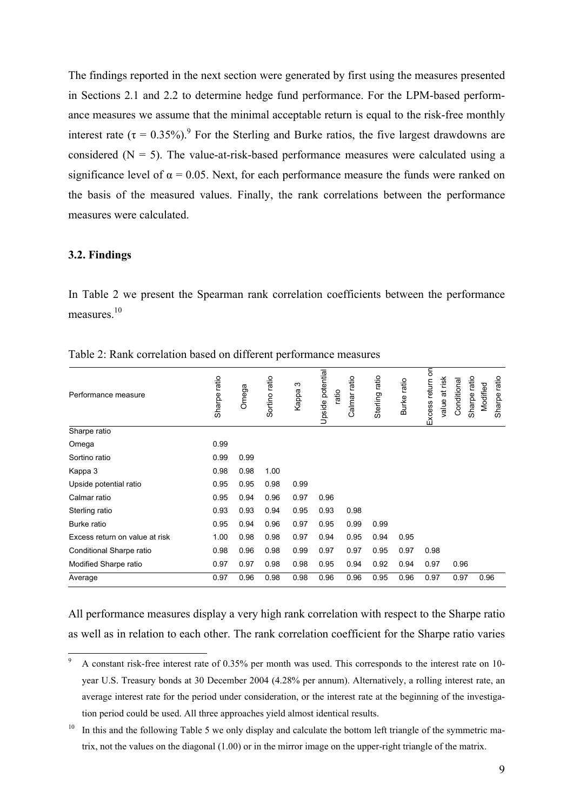The findings reported in the next section were generated by first using the measures presented in Sections 2.1 and 2.2 to determine hedge fund performance. For the LPM-based performance measures we assume that the minimal acceptable return is equal to the risk-free monthly interest rate ( $\tau = 0.35\%$ ). For the Sterling and Burke ratios, the five largest drawdowns are considered  $(N = 5)$ . The value-at-risk-based performance measures were calculated using a significance level of  $\alpha = 0.05$ . Next, for each performance measure the funds were ranked on the basis of the measured values. Finally, the rank correlations between the performance measures were calculated.

#### 3.2. Findings

In Table 2 we present the Spearman rank correlation coefficients between the performance measures.<sup>10</sup>

| Performance measure            | Sharpe ratio | Omega | Sortino ratio | S<br>Kappa | Upside potential<br>ratio | Calmar ratio | Sterling ratio | Burke ratio | Excess return on | value at risk<br>Conditional | Sharpe ratio | Modified | ratio<br>Sharpe |
|--------------------------------|--------------|-------|---------------|------------|---------------------------|--------------|----------------|-------------|------------------|------------------------------|--------------|----------|-----------------|
| Sharpe ratio                   |              |       |               |            |                           |              |                |             |                  |                              |              |          |                 |
| Omega                          | 0.99         |       |               |            |                           |              |                |             |                  |                              |              |          |                 |
| Sortino ratio                  | 0.99         | 0.99  |               |            |                           |              |                |             |                  |                              |              |          |                 |
| Kappa 3                        | 0.98         | 0.98  | 1.00          |            |                           |              |                |             |                  |                              |              |          |                 |
| Upside potential ratio         | 0.95         | 0.95  | 0.98          | 0.99       |                           |              |                |             |                  |                              |              |          |                 |
| Calmar ratio                   | 0.95         | 0.94  | 0.96          | 0.97       | 0.96                      |              |                |             |                  |                              |              |          |                 |
| Sterling ratio                 | 0.93         | 0.93  | 0.94          | 0.95       | 0.93                      | 0.98         |                |             |                  |                              |              |          |                 |
| Burke ratio                    | 0.95         | 0.94  | 0.96          | 0.97       | 0.95                      | 0.99         | 0.99           |             |                  |                              |              |          |                 |
| Excess return on value at risk | 1.00         | 0.98  | 0.98          | 0.97       | 0.94                      | 0.95         | 0.94           | 0.95        |                  |                              |              |          |                 |
| Conditional Sharpe ratio       | 0.98         | 0.96  | 0.98          | 0.99       | 0.97                      | 0.97         | 0.95           | 0.97        | 0.98             |                              |              |          |                 |
| Modified Sharpe ratio          | 0.97         | 0.97  | 0.98          | 0.98       | 0.95                      | 0.94         | 0.92           | 0.94        | 0.97             | 0.96                         |              |          |                 |
| Average                        | 0.97         | 0.96  | 0.98          | 0.98       | 0.96                      | 0.96         | 0.95           | 0.96        | 0.97             | 0.97                         |              | 0.96     |                 |

Table 2: Rank correlation based on different performance measures

All performance measures display a very high rank correlation with respect to the Sharpe ratio as well as in relation to each other. The rank correlation coefficient for the Sharpe ratio varies

 $\overline{a}$ 9 A constant risk-free interest rate of 0.35% per month was used. This corresponds to the interest rate on 10 year U.S. Treasury bonds at 30 December 2004 (4.28% per annum). Alternatively, a rolling interest rate, an average interest rate for the period under consideration, or the interest rate at the beginning of the investigation period could be used. All three approaches yield almost identical results.

In this and the following Table 5 we only display and calculate the bottom left triangle of the symmetric matrix, not the values on the diagonal (1.00) or in the mirror image on the upper-right triangle of the matrix.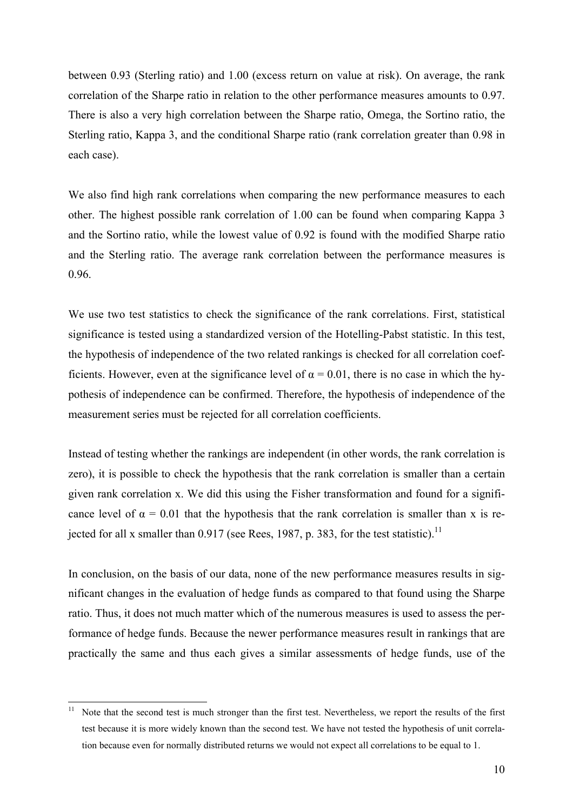between 0.93 (Sterling ratio) and 1.00 (excess return on value at risk). On average, the rank correlation of the Sharpe ratio in relation to the other performance measures amounts to 0.97. There is also a very high correlation between the Sharpe ratio, Omega, the Sortino ratio, the Sterling ratio, Kappa 3, and the conditional Sharpe ratio (rank correlation greater than 0.98 in each case).

We also find high rank correlations when comparing the new performance measures to each other. The highest possible rank correlation of 1.00 can be found when comparing Kappa 3 and the Sortino ratio, while the lowest value of 0.92 is found with the modified Sharpe ratio and the Sterling ratio. The average rank correlation between the performance measures is 0.96.

We use two test statistics to check the significance of the rank correlations. First, statistical significance is tested using a standardized version of the Hotelling-Pabst statistic. In this test, the hypothesis of independence of the two related rankings is checked for all correlation coefficients. However, even at the significance level of  $\alpha = 0.01$ , there is no case in which the hypothesis of independence can be confirmed. Therefore, the hypothesis of independence of the measurement series must be rejected for all correlation coefficients.

Instead of testing whether the rankings are independent (in other words, the rank correlation is zero), it is possible to check the hypothesis that the rank correlation is smaller than a certain given rank correlation x. We did this using the Fisher transformation and found for a significance level of  $\alpha = 0.01$  that the hypothesis that the rank correlation is smaller than x is rejected for all x smaller than  $0.917$  (see Rees, 1987, p. 383, for the test statistic).<sup>11</sup>

In conclusion, on the basis of our data, none of the new performance measures results in significant changes in the evaluation of hedge funds as compared to that found using the Sharpe ratio. Thus, it does not much matter which of the numerous measures is used to assess the performance of hedge funds. Because the newer performance measures result in rankings that are practically the same and thus each gives a similar assessments of hedge funds, use of the

Note that the second test is much stronger than the first test. Nevertheless, we report the results of the first test because it is more widely known than the second test. We have not tested the hypothesis of unit correlation because even for normally distributed returns we would not expect all correlations to be equal to 1.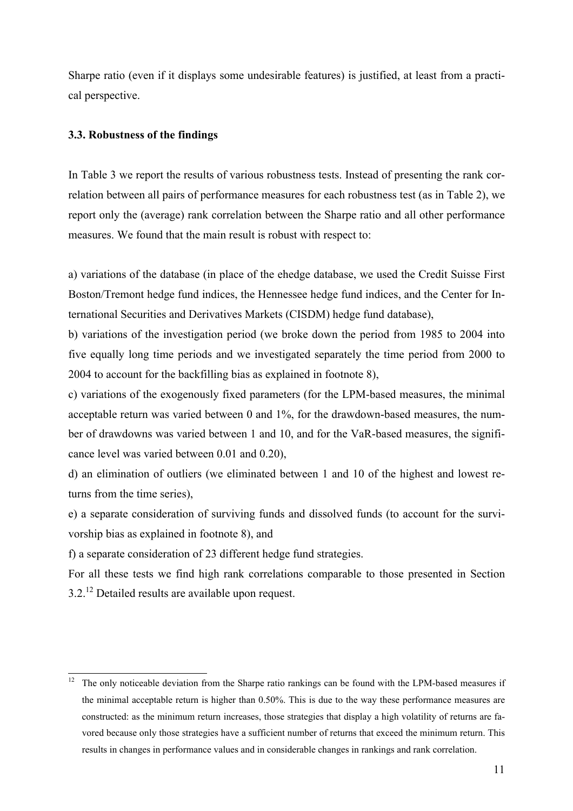Sharpe ratio (even if it displays some undesirable features) is justified, at least from a practical perspective.

#### 3.3. Robustness of the findings

In Table 3 we report the results of various robustness tests. Instead of presenting the rank correlation between all pairs of performance measures for each robustness test (as in Table 2), we report only the (average) rank correlation between the Sharpe ratio and all other performance measures. We found that the main result is robust with respect to:

a) variations of the database (in place of the ehedge database, we used the Credit Suisse First Boston/Tremont hedge fund indices, the Hennessee hedge fund indices, and the Center for International Securities and Derivatives Markets (CISDM) hedge fund database),

b) variations of the investigation period (we broke down the period from 1985 to 2004 into five equally long time periods and we investigated separately the time period from 2000 to 2004 to account for the backfilling bias as explained in footnote 8),

c) variations of the exogenously fixed parameters (for the LPM-based measures, the minimal acceptable return was varied between 0 and 1%, for the drawdown-based measures, the number of drawdowns was varied between 1 and 10, and for the VaR-based measures, the significance level was varied between 0.01 and 0.20),

d) an elimination of outliers (we eliminated between 1 and 10 of the highest and lowest returns from the time series),

e) a separate consideration of surviving funds and dissolved funds (to account for the survivorship bias as explained in footnote 8), and

f) a separate consideration of 23 different hedge fund strategies.

 $\overline{a}$ 

For all these tests we find high rank correlations comparable to those presented in Section  $3.2<sup>12</sup>$  Detailed results are available upon request.

<sup>12</sup> The only noticeable deviation from the Sharpe ratio rankings can be found with the LPM-based measures if the minimal acceptable return is higher than 0.50%. This is due to the way these performance measures are constructed: as the minimum return increases, those strategies that display a high volatility of returns are favored because only those strategies have a sufficient number of returns that exceed the minimum return. This results in changes in performance values and in considerable changes in rankings and rank correlation.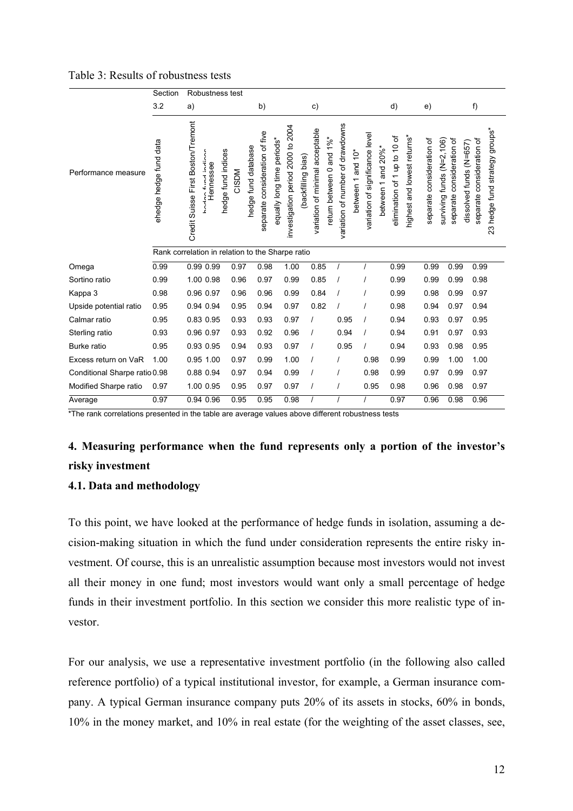|  |  | Table 3: Results of robustness tests |  |
|--|--|--------------------------------------|--|
|--|--|--------------------------------------|--|

|                               | Section                                          |                                    | Robustness test                        |                    |       |                                                       |                            |                                   |                   |                                 |                                |                                  |                   |                                 |                                           |                              |                             |                                                        |                           |                         |                                                             |
|-------------------------------|--------------------------------------------------|------------------------------------|----------------------------------------|--------------------|-------|-------------------------------------------------------|----------------------------|-----------------------------------|-------------------|---------------------------------|--------------------------------|----------------------------------|-------------------|---------------------------------|-------------------------------------------|------------------------------|-----------------------------|--------------------------------------------------------|---------------------------|-------------------------|-------------------------------------------------------------|
|                               | 3.2                                              | a)                                 |                                        |                    |       | b)                                                    |                            |                                   |                   | c)                              |                                |                                  |                   |                                 |                                           | d)                           |                             | e)                                                     |                           | f)                      |                                                             |
| Performance measure           | ehedge hedge fund data                           | Credit Suisse First Boston/Tremont | Ing finalinalis<br>Hennessee<br>خ<br>ح | hedge fund indices | CISDM | separate consideration of five<br>hedge fund database | squally long time periods* | investigation period 2000 to 2004 | backfilling bias) | variation of minimal acceptable | and $1\%$ *<br>eturn between 0 | variation of number of drawdowns | between 1 and 10* | variation of significance level | and $20\%$ *<br>$\overline{ }$<br>between | elimination of 1 up to 10 of | highest and lowest returns* | separate consideration of<br>surviving funds (N=2,106) | separate consideration of | dissolved funds (N=657) | 23 hedge fund strategy groups*<br>separate consideration of |
|                               | Rank correlation in relation to the Sharpe ratio |                                    |                                        |                    |       |                                                       |                            |                                   |                   |                                 |                                |                                  |                   |                                 |                                           |                              |                             |                                                        |                           |                         |                                                             |
| Omega                         | 0.99                                             |                                    | 0.99 0.99                              |                    | 0.97  | 0.98                                                  |                            | 1.00                              |                   | 0.85                            |                                | $\prime$                         |                   |                                 |                                           | 0.99                         |                             | 0.99                                                   | 0.99                      |                         | 0.99                                                        |
| Sortino ratio                 | 0.99                                             |                                    | 1.00 0.98                              |                    | 0.96  | 0.97                                                  |                            | 0.99                              |                   | 0.85                            |                                |                                  |                   |                                 |                                           | 0.99                         |                             | 0.99                                                   | 0.99                      |                         | 0.98                                                        |
| Kappa 3                       | 0.98                                             |                                    | 0.96 0.97                              |                    | 0.96  | 0.96                                                  |                            | 0.99                              |                   | 0.84                            |                                | $\prime$                         |                   |                                 |                                           | 0.99                         |                             | 0.98                                                   | 0.99                      |                         | 0.97                                                        |
| Upside potential ratio        | 0.95                                             |                                    | 0.94 0.94                              |                    | 0.95  | 0.94                                                  |                            | 0.97                              |                   | 0.82                            |                                | $\prime$                         |                   |                                 |                                           | 0.98                         |                             | 0.94                                                   | 0.97                      |                         | 0.94                                                        |
| Calmar ratio                  | 0.95                                             |                                    | 0.83 0.95                              |                    | 0.93  | 0.93                                                  |                            | 0.97                              |                   |                                 |                                | 0.95                             |                   |                                 |                                           | 0.94                         |                             | 0.93                                                   | 0.97                      |                         | 0.95                                                        |
| Sterling ratio                | 0.93                                             |                                    | 0.96 0.97                              |                    | 0.93  | 0.92                                                  |                            | 0.96                              |                   |                                 |                                | 0.94                             |                   | $\prime$                        |                                           | 0.94                         |                             | 0.91                                                   | 0.97                      |                         | 0.93                                                        |
| <b>Burke</b> ratio            | 0.95                                             |                                    | 0.93 0.95                              |                    | 0.94  | 0.93                                                  |                            | 0.97                              |                   | $\prime$                        |                                | 0.95                             |                   |                                 |                                           | 0.94                         |                             | 0.93                                                   | 0.98                      |                         | 0.95                                                        |
| Excess return on VaR          | 1.00                                             |                                    | 0.95 1.00                              |                    | 0.97  | 0.99                                                  |                            | 1.00                              |                   |                                 |                                | $\prime$                         |                   | 0.98                            |                                           | 0.99                         |                             | 0.99                                                   | 1.00                      |                         | 1.00                                                        |
| Conditional Sharpe ratio 0.98 |                                                  |                                    | 0.88 0.94                              |                    | 0.97  | 0.94                                                  |                            | 0.99                              |                   | $\prime$                        |                                | $\prime$                         |                   | 0.98                            |                                           | 0.99                         |                             | 0.97                                                   | 0.99                      |                         | 0.97                                                        |
| Modified Sharpe ratio         | 0.97                                             |                                    | 1.00 0.95                              |                    | 0.95  | 0.97                                                  |                            | 0.97                              |                   |                                 |                                | $\prime$                         |                   | 0.95                            |                                           | 0.98                         |                             | 0.96                                                   | 0.98                      |                         | 0.97                                                        |
| Average                       | 0.97                                             |                                    | 0.94 0.96                              |                    | 0.95  | 0.95                                                  |                            | 0.98                              |                   |                                 |                                | $\overline{I}$                   |                   | $\overline{I}$                  |                                           | 0.97                         |                             | 0.96                                                   | 0.98                      |                         | 0.96                                                        |

\*The rank correlations presented in the table are average values above different robustness tests

### 4. Measuring performance when the fund represents only a portion of the investor's risky investment

#### 4.1. Data and methodology

To this point, we have looked at the performance of hedge funds in isolation, assuming a decision-making situation in which the fund under consideration represents the entire risky investment. Of course, this is an unrealistic assumption because most investors would not invest all their money in one fund; most investors would want only a small percentage of hedge funds in their investment portfolio. In this section we consider this more realistic type of investor.

For our analysis, we use a representative investment portfolio (in the following also called reference portfolio) of a typical institutional investor, for example, a German insurance company. A typical German insurance company puts 20% of its assets in stocks, 60% in bonds, 10% in the money market, and 10% in real estate (for the weighting of the asset classes, see,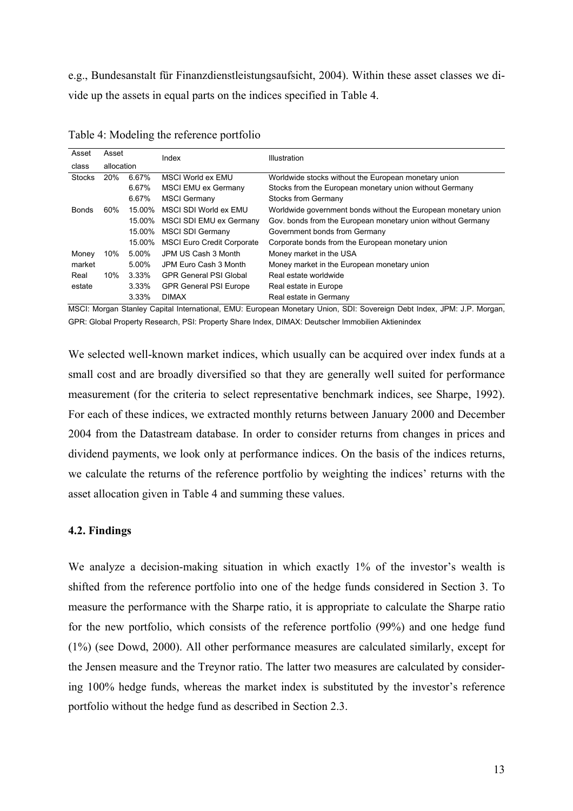e.g., Bundesanstalt für Finanzdienstleistungsaufsicht, 2004). Within these asset classes we divide up the assets in equal parts on the indices specified in Table 4.

| Asset         | Asset      |          |                                   |                                                                |
|---------------|------------|----------|-----------------------------------|----------------------------------------------------------------|
| class         | allocation |          | Index                             | Illustration                                                   |
| <b>Stocks</b> | 20%        | 6.67%    | MSCI World ex EMU                 | Worldwide stocks without the European monetary union           |
|               |            | 6.67%    | MSCI EMU ex Germany               | Stocks from the European monetary union without Germany        |
|               |            | 6.67%    | <b>MSCI Germany</b>               | Stocks from Germany                                            |
| <b>Bonds</b>  | 60%        | 15.00%   | MSCI SDI World ex EMU             | Worldwide government bonds without the European monetary union |
|               |            | 15.00%   | MSCI SDI EMU ex Germany           | Gov. bonds from the European monetary union without Germany    |
|               |            | 15.00%   | MSCI SDI Germany                  | Government bonds from Germany                                  |
|               |            | 15.00%   | <b>MSCI Euro Credit Corporate</b> | Corporate bonds from the European monetary union               |
| Money         | 10%        | 5.00%    | JPM US Cash 3 Month               | Money market in the USA                                        |
| market        |            | 5.00%    | JPM Euro Cash 3 Month             | Money market in the European monetary union                    |
| Real          | 10%        | 3.33%    | <b>GPR General PSI Global</b>     | Real estate worldwide                                          |
| estate        |            | $3.33\%$ | <b>GPR General PSI Europe</b>     | Real estate in Europe                                          |
|               |            | 3.33%    | <b>DIMAX</b>                      | Real estate in Germany                                         |

Table 4: Modeling the reference portfolio

MSCI: Morgan Stanley Capital International, EMU: European Monetary Union, SDI: Sovereign Debt Index, JPM: J.P. Morgan, GPR: Global Property Research, PSI: Property Share Index, DIMAX: Deutscher Immobilien Aktienindex

We selected well-known market indices, which usually can be acquired over index funds at a small cost and are broadly diversified so that they are generally well suited for performance measurement (for the criteria to select representative benchmark indices, see Sharpe, 1992). For each of these indices, we extracted monthly returns between January 2000 and December 2004 from the Datastream database. In order to consider returns from changes in prices and dividend payments, we look only at performance indices. On the basis of the indices returns, we calculate the returns of the reference portfolio by weighting the indices' returns with the asset allocation given in Table 4 and summing these values.

#### 4.2. Findings

We analyze a decision-making situation in which exactly 1% of the investor's wealth is shifted from the reference portfolio into one of the hedge funds considered in Section 3. To measure the performance with the Sharpe ratio, it is appropriate to calculate the Sharpe ratio for the new portfolio, which consists of the reference portfolio (99%) and one hedge fund (1%) (see Dowd, 2000). All other performance measures are calculated similarly, except for the Jensen measure and the Treynor ratio. The latter two measures are calculated by considering 100% hedge funds, whereas the market index is substituted by the investor's reference portfolio without the hedge fund as described in Section 2.3.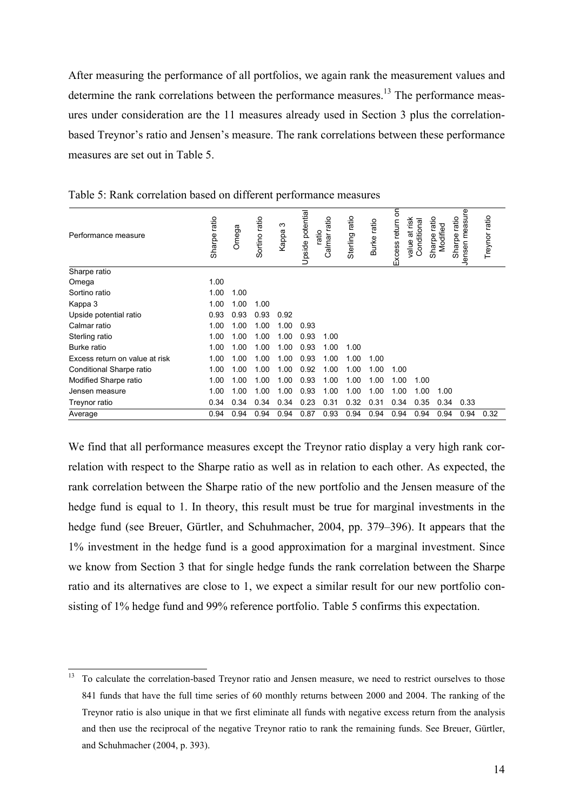After measuring the performance of all portfolios, we again rank the measurement values and determine the rank correlations between the performance measures.<sup>13</sup> The performance measures under consideration are the 11 measures already used in Section 3 plus the correlationbased Treynor's ratio and Jensen's measure. The rank correlations between these performance measures are set out in Table 5.

| Performance measure            | ratio<br>Sharpe | Omega | Sortino ratio | က<br>Kappa | Upside potential | ratio<br>ratio<br>Calmar | ratio<br>Sterling | Burke ratio | Excess return on | at risk<br>Conditional<br>value | ratio<br>Modified<br>Sharpe | easure<br>ratio<br>Jensen <sub>m</sub><br>Sharpe | Treynor ratio |
|--------------------------------|-----------------|-------|---------------|------------|------------------|--------------------------|-------------------|-------------|------------------|---------------------------------|-----------------------------|--------------------------------------------------|---------------|
| Sharpe ratio                   |                 |       |               |            |                  |                          |                   |             |                  |                                 |                             |                                                  |               |
| Omega                          | 1.00            |       |               |            |                  |                          |                   |             |                  |                                 |                             |                                                  |               |
| Sortino ratio                  | 1.00            | 1.00  |               |            |                  |                          |                   |             |                  |                                 |                             |                                                  |               |
| Kappa 3                        | 1.00            | 1.00  | 1.00          |            |                  |                          |                   |             |                  |                                 |                             |                                                  |               |
| Upside potential ratio         | 0.93            | 0.93  | 0.93          | 0.92       |                  |                          |                   |             |                  |                                 |                             |                                                  |               |
| Calmar ratio                   | 1.00            | 1.00  | 1.00          | 1.00       | 0.93             |                          |                   |             |                  |                                 |                             |                                                  |               |
| Sterling ratio                 | 1.00            | 1.00  | 1.00          | 1.00       | 0.93             | 1.00                     |                   |             |                  |                                 |                             |                                                  |               |
| Burke ratio                    | 1.00            | 1.00  | 1.00          | 1.00       | 0.93             | 1.00                     | 1.00              |             |                  |                                 |                             |                                                  |               |
| Excess return on value at risk | 1.00            | .00   | 1.00          | 1.00       | 0.93             | 1.00                     | 1.00              | 1.00        |                  |                                 |                             |                                                  |               |
| Conditional Sharpe ratio       | 1.00            | 1.00  | 1.00          | 1.00       | 0.92             | 1.00                     | 1.00              | 1.00        | 1.00             |                                 |                             |                                                  |               |
| Modified Sharpe ratio          | 1.00            | 1.00  | 1.00          | 1.00       | 0.93             | 1.00                     | 1.00              | 1.00        | 1.00             | 1.00                            |                             |                                                  |               |
| Jensen measure                 | 1.00            | 1.00  | 1.00          | 1.00       | 0.93             | 1.00                     | 1.00              | 1.00        | 1.00             | 1.00                            | 1.00                        |                                                  |               |
| Treynor ratio                  | 0.34            | 0.34  | 0.34          | 0.34       | 0.23             | 0.31                     | 0.32              | 0.31        | 0.34             | 0.35                            | 0.34                        | 0.33                                             |               |
| Average                        | 0.94            | 0.94  | 0.94          | 0.94       | 0.87             | 0.93                     | 0.94              | 0.94        | 0.94             | 0.94                            | 0.94                        | 0.94                                             | 0.32          |

Table 5: Rank correlation based on different performance measures

We find that all performance measures except the Treynor ratio display a very high rank correlation with respect to the Sharpe ratio as well as in relation to each other. As expected, the rank correlation between the Sharpe ratio of the new portfolio and the Jensen measure of the hedge fund is equal to 1. In theory, this result must be true for marginal investments in the hedge fund (see Breuer, Gürtler, and Schuhmacher, 2004, pp. 379–396). It appears that the 1% investment in the hedge fund is a good approximation for a marginal investment. Since we know from Section 3 that for single hedge funds the rank correlation between the Sharpe ratio and its alternatives are close to 1, we expect a similar result for our new portfolio consisting of 1% hedge fund and 99% reference portfolio. Table 5 confirms this expectation.

<sup>13</sup> To calculate the correlation-based Treynor ratio and Jensen measure, we need to restrict ourselves to those 841 funds that have the full time series of 60 monthly returns between 2000 and 2004. The ranking of the Treynor ratio is also unique in that we first eliminate all funds with negative excess return from the analysis and then use the reciprocal of the negative Treynor ratio to rank the remaining funds. See Breuer, Gürtler, and Schuhmacher (2004, p. 393).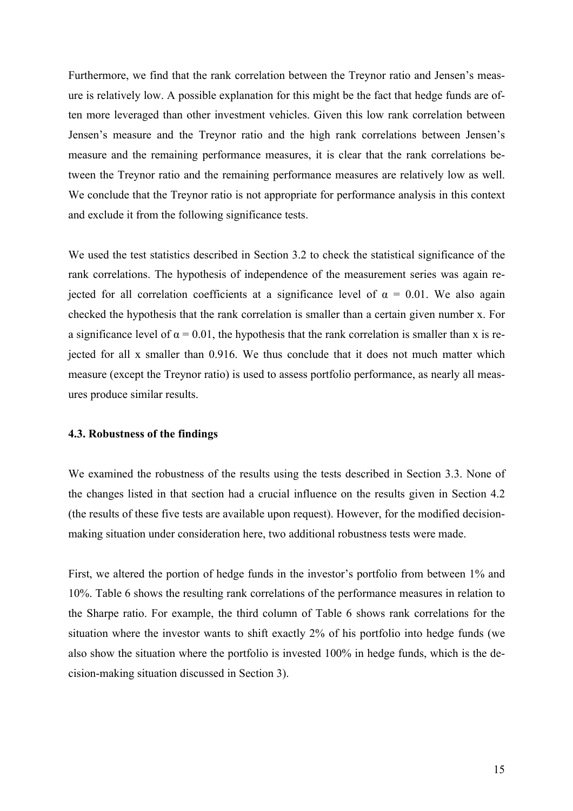Furthermore, we find that the rank correlation between the Treynor ratio and Jensen's measure is relatively low. A possible explanation for this might be the fact that hedge funds are often more leveraged than other investment vehicles. Given this low rank correlation between Jensen's measure and the Treynor ratio and the high rank correlations between Jensen's measure and the remaining performance measures, it is clear that the rank correlations between the Treynor ratio and the remaining performance measures are relatively low as well. We conclude that the Treynor ratio is not appropriate for performance analysis in this context and exclude it from the following significance tests.

We used the test statistics described in Section 3.2 to check the statistical significance of the rank correlations. The hypothesis of independence of the measurement series was again rejected for all correlation coefficients at a significance level of  $\alpha = 0.01$ . We also again checked the hypothesis that the rank correlation is smaller than a certain given number x. For a significance level of  $\alpha = 0.01$ , the hypothesis that the rank correlation is smaller than x is rejected for all x smaller than 0.916. We thus conclude that it does not much matter which measure (except the Treynor ratio) is used to assess portfolio performance, as nearly all measures produce similar results.

#### 4.3. Robustness of the findings

We examined the robustness of the results using the tests described in Section 3.3. None of the changes listed in that section had a crucial influence on the results given in Section 4.2 (the results of these five tests are available upon request). However, for the modified decisionmaking situation under consideration here, two additional robustness tests were made.

First, we altered the portion of hedge funds in the investor's portfolio from between 1% and 10%. Table 6 shows the resulting rank correlations of the performance measures in relation to the Sharpe ratio. For example, the third column of Table 6 shows rank correlations for the situation where the investor wants to shift exactly 2% of his portfolio into hedge funds (we also show the situation where the portfolio is invested 100% in hedge funds, which is the decision-making situation discussed in Section 3).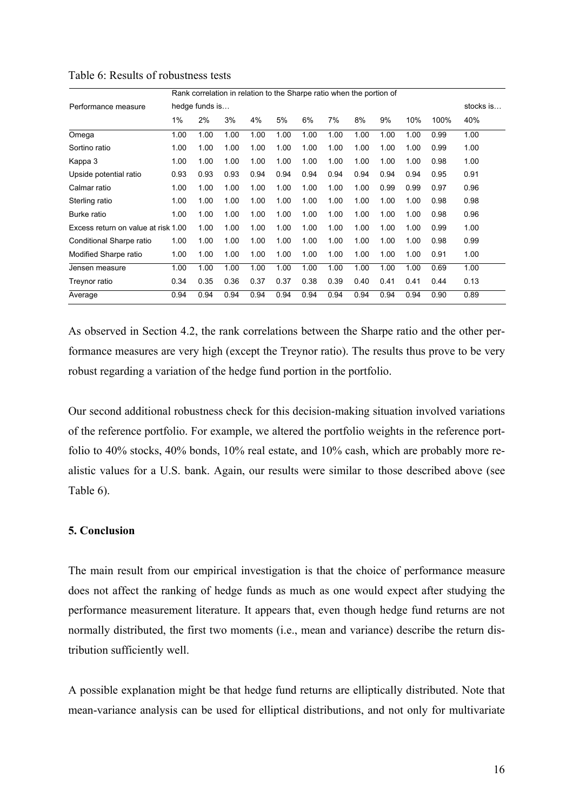|                                     | Rank correlation in relation to the Sharpe ratio when the portion of |                |      |      |      |      |      |      |      |      |      |           |  |
|-------------------------------------|----------------------------------------------------------------------|----------------|------|------|------|------|------|------|------|------|------|-----------|--|
| Performance measure                 |                                                                      | hedge funds is |      |      |      |      |      |      |      |      |      | stocks is |  |
|                                     | 1%                                                                   | 2%             | 3%   | 4%   | 5%   | 6%   | 7%   | 8%   | 9%   | 10%  | 100% | 40%       |  |
| Omega                               | 1.00                                                                 | 1.00           | 1.00 | 1.00 | 1.00 | 1.00 | 1.00 | 1.00 | 1.00 | 1.00 | 0.99 | 1.00      |  |
| Sortino ratio                       | 1.00                                                                 | 1.00           | 1.00 | 1.00 | 1.00 | 1.00 | 1.00 | 1.00 | 1.00 | 1.00 | 0.99 | 1.00      |  |
| Kappa 3                             | 1.00                                                                 | 1.00           | 1.00 | 1.00 | 1.00 | 1.00 | 1.00 | 1.00 | 1.00 | 1.00 | 0.98 | 1.00      |  |
| Upside potential ratio              | 0.93                                                                 | 0.93           | 0.93 | 0.94 | 0.94 | 0.94 | 0.94 | 0.94 | 0.94 | 0.94 | 0.95 | 0.91      |  |
| Calmar ratio                        | 1.00                                                                 | 1.00           | 1.00 | 1.00 | 1.00 | 1.00 | 1.00 | 1.00 | 0.99 | 0.99 | 0.97 | 0.96      |  |
| Sterling ratio                      | 1.00                                                                 | 1.00           | 1.00 | 1.00 | 1.00 | 1.00 | 1.00 | 1.00 | 1.00 | 1.00 | 0.98 | 0.98      |  |
| Burke ratio                         | 1.00                                                                 | 1.00           | 1.00 | 1.00 | 1.00 | 1.00 | 1.00 | 1.00 | 1.00 | 1.00 | 0.98 | 0.96      |  |
| Excess return on value at risk 1.00 |                                                                      | 1.00           | 1.00 | 1.00 | 1.00 | 1.00 | 1.00 | 1.00 | 1.00 | 1.00 | 0.99 | 1.00      |  |
| Conditional Sharpe ratio            | 1.00                                                                 | 1.00           | 1.00 | 1.00 | 1.00 | 1.00 | 1.00 | 1.00 | 1.00 | 1.00 | 0.98 | 0.99      |  |
| Modified Sharpe ratio               | 1.00                                                                 | 1.00           | 1.00 | 1.00 | 1.00 | 1.00 | 1.00 | 1.00 | 1.00 | 1.00 | 0.91 | 1.00      |  |
| Jensen measure                      | 1.00                                                                 | 1.00           | 1.00 | 1.00 | 1.00 | 1.00 | 1.00 | 1.00 | 1.00 | 1.00 | 0.69 | 1.00      |  |
| Treynor ratio                       | 0.34                                                                 | 0.35           | 0.36 | 0.37 | 0.37 | 0.38 | 0.39 | 0.40 | 0.41 | 0.41 | 0.44 | 0.13      |  |
| Average                             | 0.94                                                                 | 0.94           | 0.94 | 0.94 | 0.94 | 0.94 | 0.94 | 0.94 | 0.94 | 0.94 | 0.90 | 0.89      |  |

#### Table 6: Results of robustness tests

As observed in Section 4.2, the rank correlations between the Sharpe ratio and the other performance measures are very high (except the Treynor ratio). The results thus prove to be very robust regarding a variation of the hedge fund portion in the portfolio.

Our second additional robustness check for this decision-making situation involved variations of the reference portfolio. For example, we altered the portfolio weights in the reference portfolio to 40% stocks, 40% bonds, 10% real estate, and 10% cash, which are probably more realistic values for a U.S. bank. Again, our results were similar to those described above (see Table 6).

#### 5. Conclusion

The main result from our empirical investigation is that the choice of performance measure does not affect the ranking of hedge funds as much as one would expect after studying the performance measurement literature. It appears that, even though hedge fund returns are not normally distributed, the first two moments (i.e., mean and variance) describe the return distribution sufficiently well.

A possible explanation might be that hedge fund returns are elliptically distributed. Note that mean-variance analysis can be used for elliptical distributions, and not only for multivariate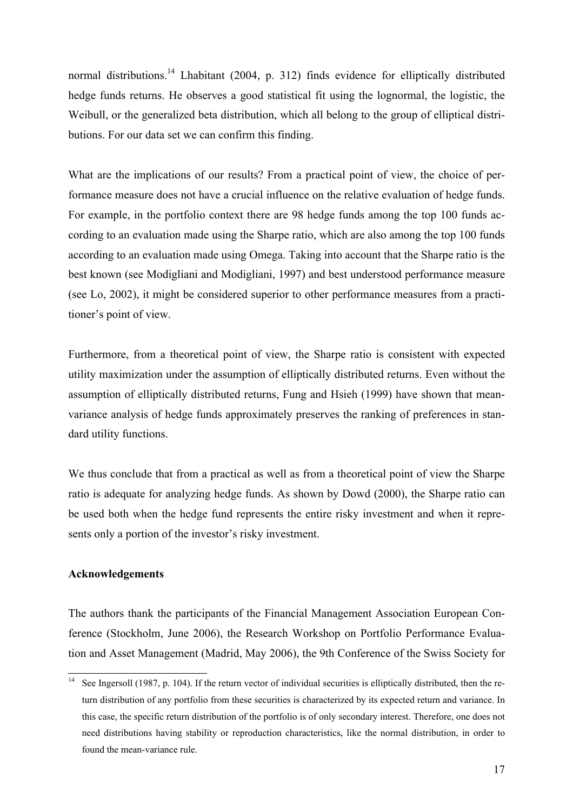normal distributions.<sup>14</sup> Lhabitant (2004, p. 312) finds evidence for elliptically distributed hedge funds returns. He observes a good statistical fit using the lognormal, the logistic, the Weibull, or the generalized beta distribution, which all belong to the group of elliptical distributions. For our data set we can confirm this finding.

What are the implications of our results? From a practical point of view, the choice of performance measure does not have a crucial influence on the relative evaluation of hedge funds. For example, in the portfolio context there are 98 hedge funds among the top 100 funds according to an evaluation made using the Sharpe ratio, which are also among the top 100 funds according to an evaluation made using Omega. Taking into account that the Sharpe ratio is the best known (see Modigliani and Modigliani, 1997) and best understood performance measure (see Lo, 2002), it might be considered superior to other performance measures from a practitioner's point of view.

Furthermore, from a theoretical point of view, the Sharpe ratio is consistent with expected utility maximization under the assumption of elliptically distributed returns. Even without the assumption of elliptically distributed returns, Fung and Hsieh (1999) have shown that meanvariance analysis of hedge funds approximately preserves the ranking of preferences in standard utility functions.

We thus conclude that from a practical as well as from a theoretical point of view the Sharpe ratio is adequate for analyzing hedge funds. As shown by Dowd (2000), the Sharpe ratio can be used both when the hedge fund represents the entire risky investment and when it represents only a portion of the investor's risky investment.

#### Acknowledgements

The authors thank the participants of the Financial Management Association European Conference (Stockholm, June 2006), the Research Workshop on Portfolio Performance Evaluation and Asset Management (Madrid, May 2006), the 9th Conference of the Swiss Society for

 $14$ See Ingersoll (1987, p. 104). If the return vector of individual securities is elliptically distributed, then the return distribution of any portfolio from these securities is characterized by its expected return and variance. In this case, the specific return distribution of the portfolio is of only secondary interest. Therefore, one does not need distributions having stability or reproduction characteristics, like the normal distribution, in order to found the mean-variance rule.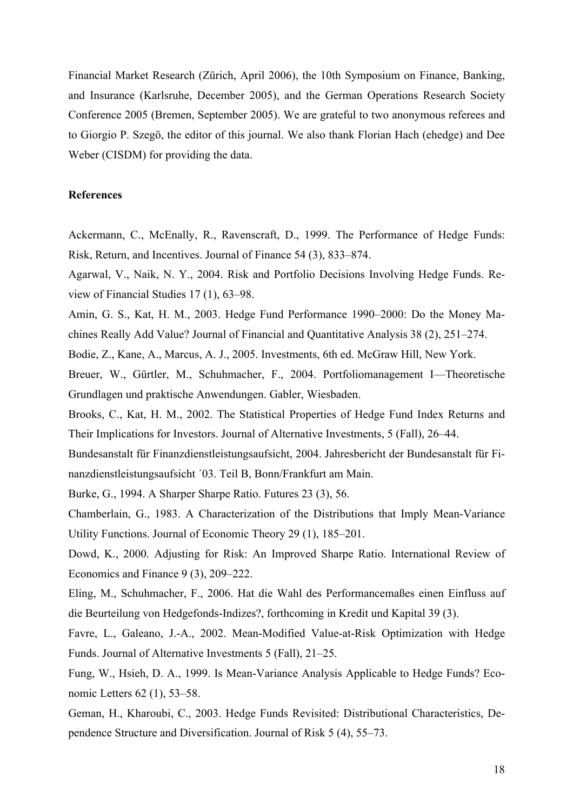Financial Market Research (Zürich, April 2006), the 10th Symposium on Finance, Banking, and Insurance (Karlsruhe, December 2005), and the German Operations Research Society Conference 2005 (Bremen, September 2005). We are grateful to two anonymous referees and to Giorgio P. Szegö, the editor of this journal. We also thank Florian Hach (ehedge) and Dee Weber (CISDM) for providing the data.

#### References

Ackermann, C., McEnally, R., Ravenscraft, D., 1999. The Performance of Hedge Funds: Risk, Return, and Incentives. Journal of Finance 54 (3), 833–874.

Agarwal, V., Naik, N. Y., 2004. Risk and Portfolio Decisions Involving Hedge Funds. Review of Financial Studies 17 (1), 63–98.

Amin, G. S., Kat, H. M., 2003. Hedge Fund Performance 1990–2000: Do the Money Machines Really Add Value? Journal of Financial and Quantitative Analysis 38 (2), 251–274.

Bodie, Z., Kane, A., Marcus, A. J., 2005. Investments, 6th ed. McGraw Hill, New York.

Breuer, W., Gürtler, M., Schuhmacher, F., 2004. Portfoliomanagement I—Theoretische Grundlagen und praktische Anwendungen. Gabler, Wiesbaden.

Brooks, C., Kat, H. M., 2002. The Statistical Properties of Hedge Fund Index Returns and Their Implications for Investors. Journal of Alternative Investments, 5 (Fall), 26–44.

Bundesanstalt für Finanzdienstleistungsaufsicht, 2004. Jahresbericht der Bundesanstalt für Finanzdienstleistungsaufsicht ´03. Teil B, Bonn/Frankfurt am Main.

Burke, G., 1994. A Sharper Sharpe Ratio. Futures 23 (3), 56.

Chamberlain, G., 1983. A Characterization of the Distributions that Imply Mean-Variance Utility Functions. Journal of Economic Theory 29 (1), 185–201.

Dowd, K., 2000. Adjusting for Risk: An Improved Sharpe Ratio. International Review of Economics and Finance 9 (3), 209–222.

Eling, M., Schuhmacher, F., 2006. Hat die Wahl des Performancemaßes einen Einfluss auf die Beurteilung von Hedgefonds-Indizes?, forthcoming in Kredit und Kapital 39 (3).

Favre, L., Galeano, J.-A., 2002. Mean-Modified Value-at-Risk Optimization with Hedge Funds. Journal of Alternative Investments 5 (Fall), 21–25.

Fung, W., Hsieh, D. A., 1999. Is Mean-Variance Analysis Applicable to Hedge Funds? Economic Letters 62 (1), 53–58.

Geman, H., Kharoubi, C., 2003. Hedge Funds Revisited: Distributional Characteristics, Dependence Structure and Diversification. Journal of Risk 5 (4), 55–73.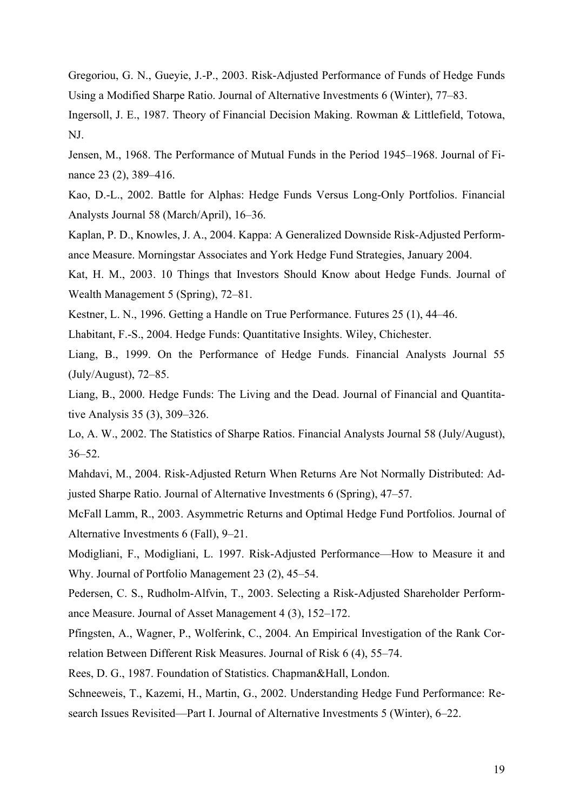Gregoriou, G. N., Gueyie, J.-P., 2003. Risk-Adjusted Performance of Funds of Hedge Funds Using a Modified Sharpe Ratio. Journal of Alternative Investments 6 (Winter), 77–83.

Ingersoll, J. E., 1987. Theory of Financial Decision Making. Rowman & Littlefield, Totowa, NJ.

Jensen, M., 1968. The Performance of Mutual Funds in the Period 1945–1968. Journal of Finance 23 (2), 389–416.

Kao, D.-L., 2002. Battle for Alphas: Hedge Funds Versus Long-Only Portfolios. Financial Analysts Journal 58 (March/April), 16–36.

Kaplan, P. D., Knowles, J. A., 2004. Kappa: A Generalized Downside Risk-Adjusted Performance Measure. Morningstar Associates and York Hedge Fund Strategies, January 2004.

Kat, H. M., 2003. 10 Things that Investors Should Know about Hedge Funds. Journal of Wealth Management 5 (Spring), 72–81.

Kestner, L. N., 1996. Getting a Handle on True Performance. Futures 25 (1), 44–46.

Lhabitant, F.-S., 2004. Hedge Funds: Quantitative Insights. Wiley, Chichester.

Liang, B., 1999. On the Performance of Hedge Funds. Financial Analysts Journal 55 (July/August), 72–85.

Liang, B., 2000. Hedge Funds: The Living and the Dead. Journal of Financial and Quantitative Analysis 35 (3), 309–326.

Lo, A. W., 2002. The Statistics of Sharpe Ratios. Financial Analysts Journal 58 (July/August), 36–52.

Mahdavi, M., 2004. Risk-Adjusted Return When Returns Are Not Normally Distributed: Adjusted Sharpe Ratio. Journal of Alternative Investments 6 (Spring), 47–57.

McFall Lamm, R., 2003. Asymmetric Returns and Optimal Hedge Fund Portfolios. Journal of Alternative Investments 6 (Fall), 9–21.

Modigliani, F., Modigliani, L. 1997. Risk-Adjusted Performance—How to Measure it and Why. Journal of Portfolio Management 23 (2), 45–54.

Pedersen, C. S., Rudholm-Alfvin, T., 2003. Selecting a Risk-Adjusted Shareholder Performance Measure. Journal of Asset Management 4 (3), 152–172.

Pfingsten, A., Wagner, P., Wolferink, C., 2004. An Empirical Investigation of the Rank Correlation Between Different Risk Measures. Journal of Risk 6 (4), 55–74.

Rees, D. G., 1987. Foundation of Statistics. Chapman&Hall, London.

Schneeweis, T., Kazemi, H., Martin, G., 2002. Understanding Hedge Fund Performance: Research Issues Revisited—Part I. Journal of Alternative Investments 5 (Winter), 6–22.